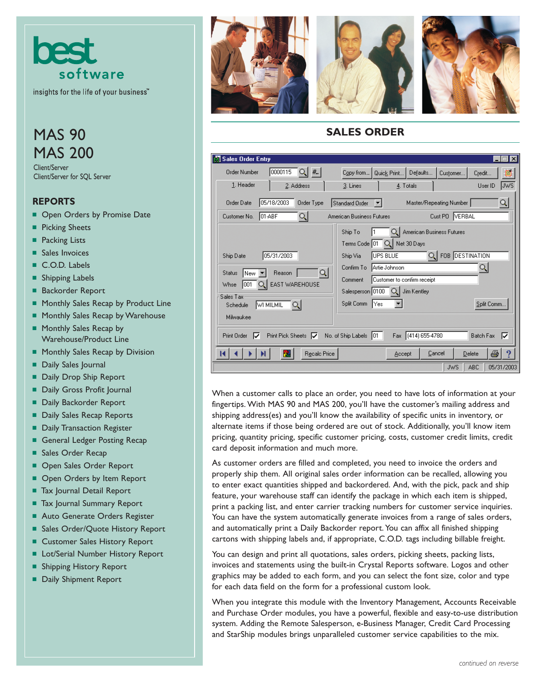

insights for the life of your business<sup>"</sup>

# **MAS 90** MAS 200

Client/Server Client/Server for SQL Server

#### **REPORTS**

- Open Orders by Promise Date
- Picking Sheets
- Packing Lists
- Sales Invoices
- C.O.D. Labels
- Shipping Labels
- Backorder Report
- Monthly Sales Recap by Product Line
- Monthly Sales Recap by Warehouse
- Monthly Sales Recap by Warehouse/Product Line
- Monthly Sales Recap by Division
- Daily Sales Journal
- Daily Drop Ship Report
- Daily Gross Profit Journal
- Daily Backorder Report
- Daily Sales Recap Reports
- Daily Transaction Register
- General Ledger Posting Recap
- Sales Order Recap
- Open Sales Order Report
- Open Orders by Item Report
- Tax Journal Detail Report
- Tax Journal Summary Report
- Auto Generate Orders Register
- Sales Order/Quote History Report
- Customer Sales History Report
- Lot/Serial Number History Report
- Shipping History Report
- Daily Shipment Report







## **SALES ORDER**

| Sales Order Entry                                                                                                                                            | lx                                                                                                                                                                                                                                                                                                    |  |
|--------------------------------------------------------------------------------------------------------------------------------------------------------------|-------------------------------------------------------------------------------------------------------------------------------------------------------------------------------------------------------------------------------------------------------------------------------------------------------|--|
| 0000115<br>् । # ।<br><b>Order Number</b>                                                                                                                    | Defaults<br>▦<br>Copy from<br>Quick Print<br>Customer<br>Credit                                                                                                                                                                                                                                       |  |
| 1. Header<br>2. Address                                                                                                                                      | <b>Jws</b><br>3. Lines<br>4. Totals<br>User ID                                                                                                                                                                                                                                                        |  |
| 05/18/2003<br>Order Type<br>Order Date                                                                                                                       | $\mathsf{Q}$<br>Standard Order<br>Master/Repeating Number<br>╶┥                                                                                                                                                                                                                                       |  |
| IO1-ABF<br>୍କା<br>Customer No.                                                                                                                               | Cust PO VERBAL<br>American Business Futures                                                                                                                                                                                                                                                           |  |
| 05/31/2003<br>Ship Date<br> Q <br>Reason<br>Status<br>lNew<br>EAST WAREHOUSE<br>1001<br>Whse<br>Sales Tax<br><b>WI MILMIL</b><br>्।<br>Schedule<br>Milwaukee | ୟା<br>American Business Futures<br>Ship To<br>Net 30 Days<br>Q)<br>Terms Code   01<br>Q FOB DESTINATION<br><b>JUPS BLUE</b><br>Ship Via<br>Artie Johnson<br>Q.<br>Confirm To<br>Customer to confirm receipt<br>Comment<br>Salesperson 0100<br>Jim Kentley<br>l Q.I<br>Split Comm<br>Split Comm<br>Yes |  |
| $(414) 655-4780$<br>No. of Ship Labels<br><b>Batch Fax</b><br>⊽<br>Print Pick Sheets $ \nabla $<br>Print Order<br>⊽<br>101.<br>Fax                           |                                                                                                                                                                                                                                                                                                       |  |
| 恩<br>Recalc Price                                                                                                                                            | ê<br>9<br>Cancel<br>Delete<br>Accept                                                                                                                                                                                                                                                                  |  |
|                                                                                                                                                              | <b>ABC</b><br>05/31/2003<br><b>JWS</b>                                                                                                                                                                                                                                                                |  |

When a customer calls to place an order, you need to have lots of information at your fingertips. With MAS 90 and MAS 200, you'll have the customer's mailing address and shipping address(es) and you'll know the availability of specific units in inventory, or alternate items if those being ordered are out of stock. Additionally, you'll know item pricing, quantity pricing, specific customer pricing, costs, customer credit limits, credit card deposit information and much more.

As customer orders are filled and completed, you need to invoice the orders and properly ship them. All original sales order information can be recalled, allowing you to enter exact quantities shipped and backordered. And, with the pick, pack and ship feature, your warehouse staff can identify the package in which each item is shipped, print a packing list, and enter carrier tracking numbers for customer service inquiries. You can have the system automatically generate invoices from a range of sales orders, and automatically print a Daily Backorder report. You can affix all finished shipping cartons with shipping labels and, if appropriate, C.O.D. tags including billable freight.

You can design and print all quotations, sales orders, picking sheets, packing lists, invoices and statements using the built-in Crystal Reports software. Logos and other graphics may be added to each form, and you can select the font size, color and type for each data field on the form for a professional custom look.

When you integrate this module with the Inventory Management, Accounts Receivable and Purchase Order modules, you have a powerful, flexible and easy-to-use distribution system. Adding the Remote Salesperson, e-Business Manager, Credit Card Processing and StarShip modules brings unparalleled customer service capabilities to the mix.